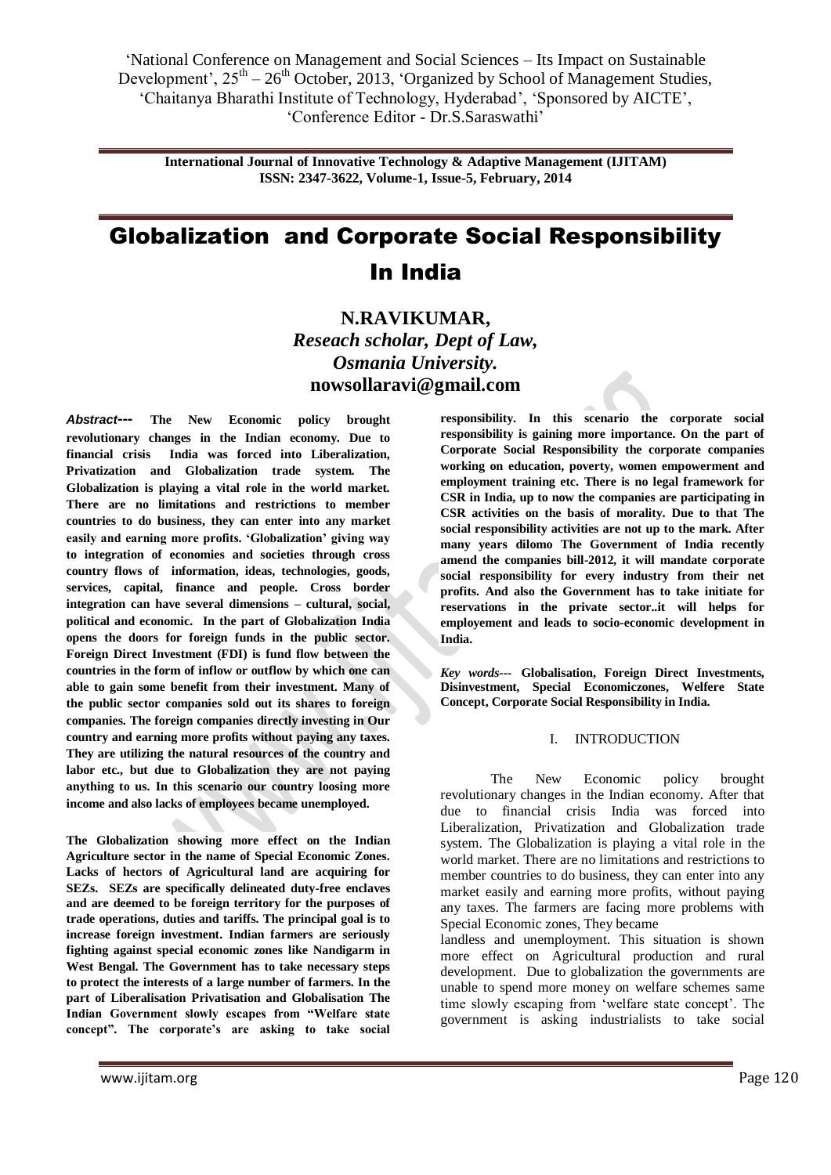**International Journal of Innovative Technology & Adaptive Management (IJITAM) ISSN: 2347-3622, Volume-1, Issue-5, February, 2014**

# Globalization and Corporate Social Responsibility In India

**N.RAVIKUMAR,** *Reseach scholar, Dept of Law, Osmania University.* **nowsollaravi@gmail.com**

*Abstract***--- The New Economic policy brought revolutionary changes in the Indian economy. Due to financial crisis India was forced into Liberalization, Privatization and Globalization trade system. The Globalization is playing a vital role in the world market. There are no limitations and restrictions to member countries to do business, they can enter into any market easily and earning more profits. "Globalization" giving way to integration of economies and societies through cross country flows of information, ideas, technologies, goods, services, capital, finance and people. Cross border integration can have several dimensions – cultural, social, political and economic. In the part of Globalization India opens the doors for foreign funds in the public sector. Foreign Direct Investment (FDI) is fund flow between the countries in the form of inflow or outflow by which one can able to gain some benefit from their investment. Many of the public sector companies sold out its shares to foreign companies. The foreign companies directly investing in Our country and earning more profits without paying any taxes. They are utilizing the natural resources of the country and labor etc., but due to Globalization they are not paying anything to us. In this scenario our country loosing more income and also lacks of employees became unemployed.**

**The Globalization showing more effect on the Indian Agriculture sector in the name of Special Economic Zones. Lacks of hectors of Agricultural land are acquiring for SEZs. SEZs are specifically delineated duty-free enclaves and are deemed to be foreign territory for the purposes of trade operations, duties and tariffs. The principal goal is to increase foreign investment. Indian farmers are seriously fighting against special economic zones like Nandigarm in West Bengal. The Government has to take necessary steps to protect the interests of a large number of farmers. In the part of Liberalisation Privatisation and Globalisation The Indian Government slowly escapes from "Welfare state**  concept". The corporate's are asking to take social

**responsibility. In this scenario the corporate social responsibility is gaining more importance. On the part of Corporate Social Responsibility the corporate companies working on education, poverty, women empowerment and employment training etc. There is no legal framework for CSR in India, up to now the companies are participating in CSR activities on the basis of morality. Due to that The social responsibility activities are not up to the mark. After many years dilomo The Government of India recently amend the companies bill-2012, it will mandate corporate social responsibility for every industry from their net profits. And also the Government has to take initiate for reservations in the private sector..it will helps for employement and leads to socio-economic development in India.**

*Key words---* **Globalisation, Foreign Direct Investments, Disinvestment, Special Economiczones, Welfere State Concept, Corporate Social Responsibility in India.**

# I. INTRODUCTION

The New Economic policy brought revolutionary changes in the Indian economy. After that due to financial crisis India was forced into Liberalization, Privatization and Globalization trade system. The Globalization is playing a vital role in the world market. There are no limitations and restrictions to member countries to do business, they can enter into any market easily and earning more profits, without paying any taxes. The farmers are facing more problems with Special Economic zones, They became

landless and unemployment. This situation is shown more effect on Agricultural production and rural development. Due to globalization the governments are unable to spend more money on welfare schemes same time slowly escaping from 'welfare state concept'. The government is asking industrialists to take social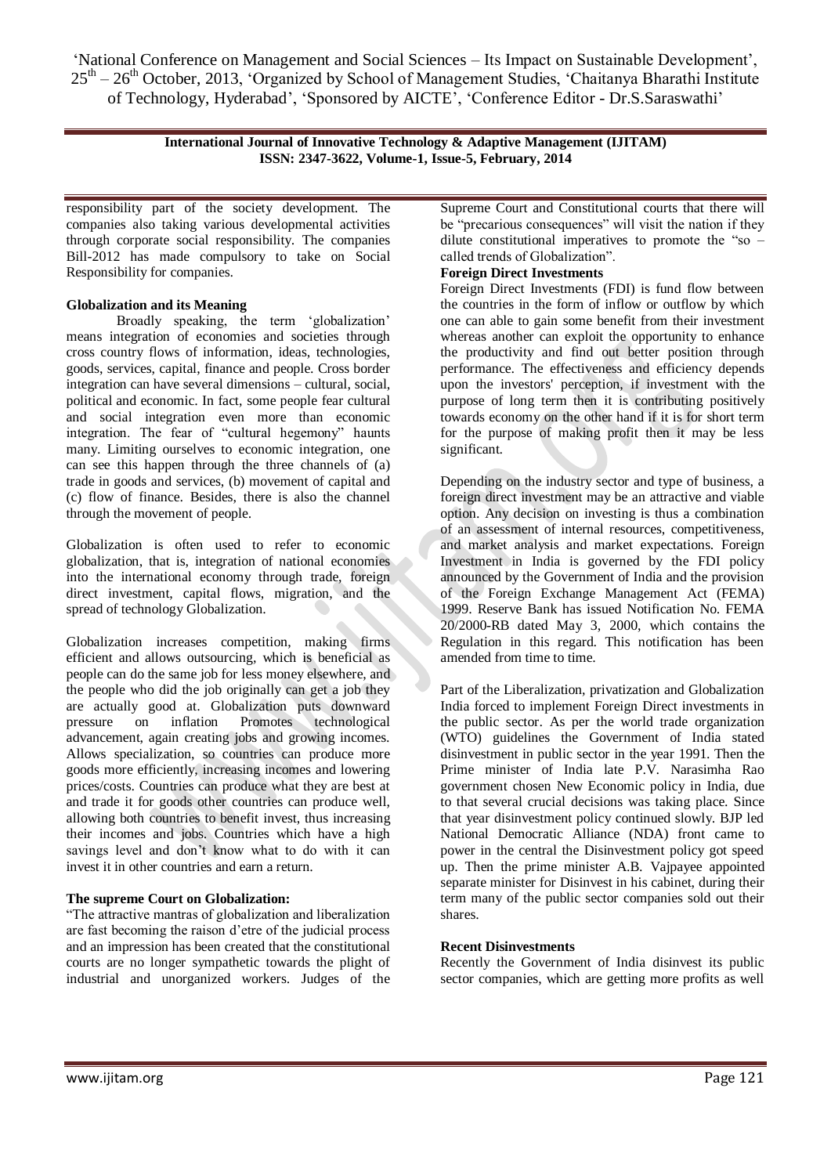> **International Journal of Innovative Technology & Adaptive Management (IJITAM) ISSN: 2347-3622, Volume-1, Issue-5, February, 2014**

responsibility part of the society development. The companies also taking various developmental activities through corporate social responsibility. The companies Bill-2012 has made compulsory to take on Social Responsibility for companies.

# **Globalization and its Meaning**

Broadly speaking, the term 'globalization' means integration of economies and societies through cross country flows of information, ideas, technologies, goods, services, capital, finance and people. Cross border integration can have several dimensions – cultural, social, political and economic. In fact, some people fear cultural and social integration even more than economic integration. The fear of "cultural hegemony" haunts many. Limiting ourselves to economic integration, one can see this happen through the three channels of (a) trade in goods and services, (b) movement of capital and (c) flow of finance. Besides, there is also the channel through the movement of people.

Globalization is often used to refer to economic globalization, that is, integration of national economies into the international economy through trade, foreign direct investment, capital flows, migration, and the spread of technology Globalization.

Globalization increases competition, making firms efficient and allows outsourcing, which is beneficial as people can do the same job for less money elsewhere, and the people who did the job originally can get a job they are actually good at. Globalization puts downward pressure on inflation Promotes technological advancement, again creating jobs and growing incomes. Allows specialization, so countries can produce more goods more efficiently, increasing incomes and lowering prices/costs. Countries can produce what they are best at and trade it for goods other countries can produce well, allowing both countries to benefit invest, thus increasing their incomes and jobs. Countries which have a high savings level and don"t know what to do with it can invest it in other countries and earn a return.

# **The supreme Court on Globalization:**

"The attractive mantras of globalization and liberalization are fast becoming the raison d"etre of the judicial process and an impression has been created that the constitutional courts are no longer sympathetic towards the plight of industrial and unorganized workers. Judges of the Supreme Court and Constitutional courts that there will be "precarious consequences" will visit the nation if they dilute constitutional imperatives to promote the "so – called trends of Globalization".

# **Foreign Direct Investments**

Foreign Direct Investments (FDI) is fund flow between the countries in the form of inflow or outflow by which one can able to gain some benefit from their investment whereas another can exploit the opportunity to enhance the productivity and find out better position through performance. The effectiveness and efficiency depends upon the investors' perception, if investment with the purpose of long term then it is contributing positively towards economy on the other hand if it is for short term for the purpose of making profit then it may be less significant.

Depending on the industry sector and type of business, a foreign direct investment may be an attractive and viable option. Any decision on investing is thus a combination of an assessment of internal resources, competitiveness, and market analysis and market expectations. Foreign Investment in India is governed by the FDI policy announced by the Government of India and the provision of the Foreign Exchange Management Act (FEMA) 1999. Reserve Bank has issued Notification No. FEMA 20/2000-RB dated May 3, 2000, which contains the Regulation in this regard. This notification has been amended from time to time.

Part of the Liberalization, privatization and Globalization India forced to implement Foreign Direct investments in the public sector. As per the world trade organization (WTO) guidelines the Government of India stated disinvestment in public sector in the year 1991. Then the Prime minister of India late P.V. Narasimha Rao government chosen New Economic policy in India, due to that several crucial decisions was taking place. Since that year disinvestment policy continued slowly. BJP led National Democratic Alliance (NDA) front came to power in the central the Disinvestment policy got speed up. Then the prime minister A.B. Vajpayee appointed separate minister for Disinvest in his cabinet, during their term many of the public sector companies sold out their shares.

# **Recent Disinvestments**

Recently the Government of India disinvest its public sector companies, which are getting more profits as well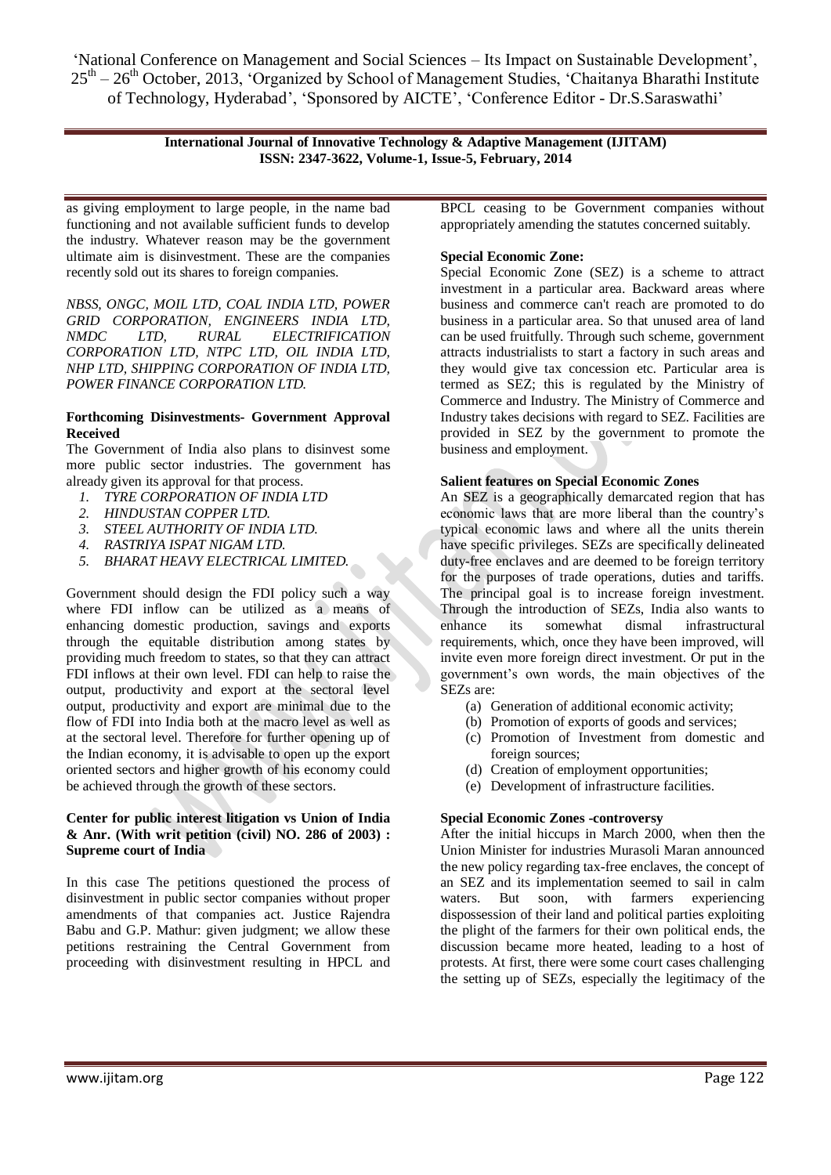> **International Journal of Innovative Technology & Adaptive Management (IJITAM) ISSN: 2347-3622, Volume-1, Issue-5, February, 2014**

as giving employment to large people, in the name bad functioning and not available sufficient funds to develop the industry. Whatever reason may be the government ultimate aim is disinvestment. These are the companies recently sold out its shares to foreign companies.

*NBSS, ONGC, MOIL LTD, COAL INDIA LTD, POWER GRID CORPORATION, ENGINEERS INDIA LTD, NMDC LTD, RURAL ELECTRIFICATION CORPORATION LTD, NTPC LTD, OIL INDIA LTD, NHP LTD, SHIPPING CORPORATION OF INDIA LTD, POWER FINANCE CORPORATION LTD.*

# **Forthcoming Disinvestments- Government Approval Received**

The Government of India also plans to disinvest some more public sector industries. The government has already given its approval for that process.

- *1. TYRE CORPORATION OF INDIA LTD*
- *2. HINDUSTAN COPPER LTD.*
- *3. STEEL AUTHORITY OF INDIA LTD.*
- *4. RASTRIYA ISPAT NIGAM LTD.*
- *5. BHARAT HEAVY ELECTRICAL LIMITED.*

Government should design the FDI policy such a way where FDI inflow can be utilized as a means of enhancing domestic production, savings and exports through the equitable distribution among states by providing much freedom to states, so that they can attract FDI inflows at their own level. FDI can help to raise the output, productivity and export at the sectoral level output, productivity and export are minimal due to the flow of FDI into India both at the macro level as well as at the sectoral level. Therefore for further opening up of the Indian economy, it is advisable to open up the export oriented sectors and higher growth of his economy could be achieved through the growth of these sectors.

# **Center for public interest litigation vs Union of India & Anr. (With writ petition (civil) NO. 286 of 2003) : Supreme court of India**

In this case The petitions questioned the process of disinvestment in public sector companies without proper amendments of that companies act. Justice Rajendra Babu and G.P. Mathur: given judgment; we allow these petitions restraining the Central Government from proceeding with disinvestment resulting in HPCL and

BPCL ceasing to be Government companies without appropriately amending the statutes concerned suitably.

# **Special Economic Zone:**

Special Economic Zone (SEZ) is a scheme to attract investment in a particular area. Backward areas where business and commerce can't reach are promoted to do business in a particular area. So that unused area of land can be used fruitfully. Through such scheme, government attracts industrialists to start a factory in such areas and they would give tax concession etc. Particular area is termed as SEZ; this is regulated by the Ministry of Commerce and Industry. The Ministry of Commerce and Industry takes decisions with regard to SEZ. Facilities are provided in SEZ by the government to promote the business and employment.

#### **Salient features on Special Economic Zones**

An SEZ is a geographically demarcated region that has economic laws that are more liberal than the country"s typical economic laws and where all the units therein have specific privileges. SEZs are specifically delineated duty-free enclaves and are deemed to be foreign territory for the purposes of trade operations, duties and tariffs. The principal goal is to increase foreign investment. Through the introduction of SEZs, India also wants to enhance its somewhat dismal infrastructural requirements, which, once they have been improved, will invite even more foreign direct investment. Or put in the government"s own words, the main objectives of the SEZs are:

- (a) Generation of additional economic activity;
- (b) Promotion of exports of goods and services;
- (c) Promotion of Investment from domestic and foreign sources;
- (d) Creation of employment opportunities;
- (e) Development of infrastructure facilities.

# **Special Economic Zones -controversy**

After the initial hiccups in March 2000, when then the Union Minister for industries Murasoli Maran announced the new policy regarding tax-free enclaves, the concept of an SEZ and its implementation seemed to sail in calm waters. But soon, with farmers experiencing dispossession of their land and political parties exploiting the plight of the farmers for their own political ends, the discussion became more heated, leading to a host of protests. At first, there were some court cases challenging the setting up of SEZs, especially the legitimacy of the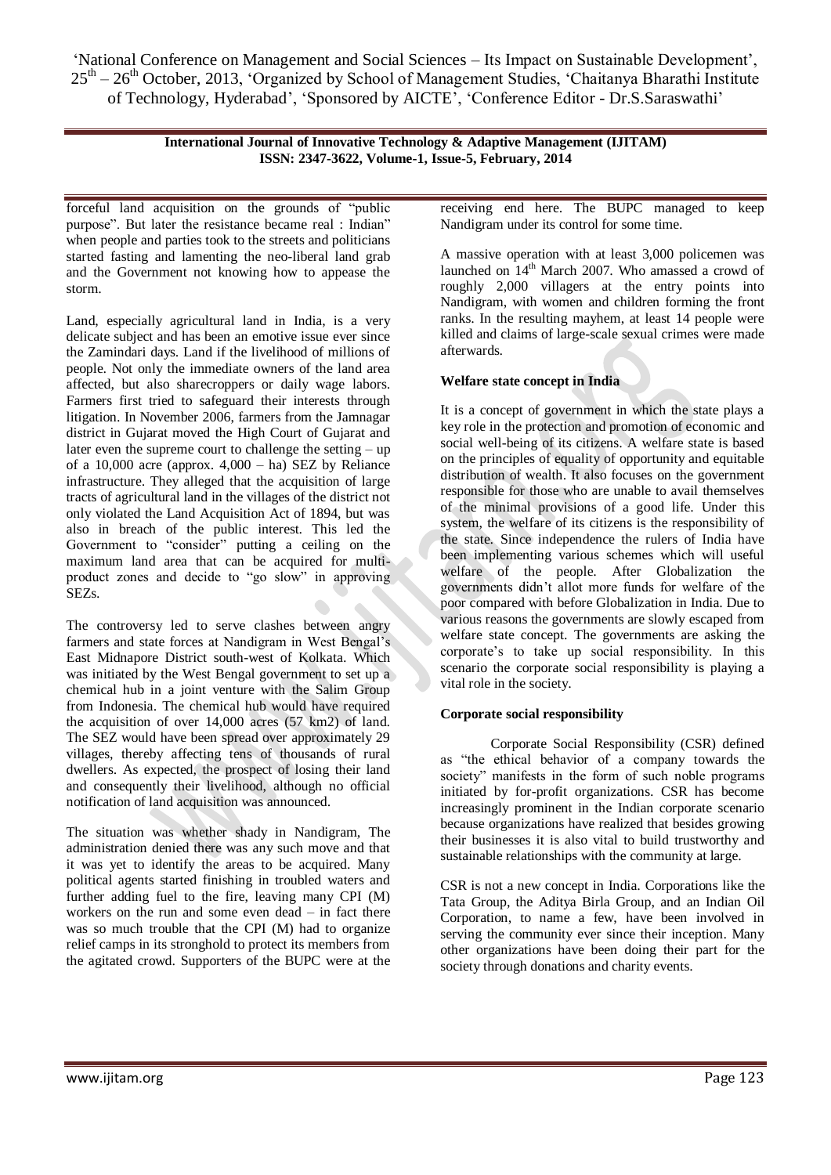> **International Journal of Innovative Technology & Adaptive Management (IJITAM) ISSN: 2347-3622, Volume-1, Issue-5, February, 2014**

forceful land acquisition on the grounds of "public purpose". But later the resistance became real : Indian" when people and parties took to the streets and politicians started fasting and lamenting the neo-liberal land grab and the Government not knowing how to appease the storm.

Land, especially agricultural land in India, is a very delicate subject and has been an emotive issue ever since the Zamindari days. Land if the livelihood of millions of people. Not only the immediate owners of the land area affected, but also sharecroppers or daily wage labors. Farmers first tried to safeguard their interests through litigation. In November 2006, farmers from the Jamnagar district in Gujarat moved the High Court of Gujarat and later even the supreme court to challenge the setting – up of a 10,000 acre (approx.  $4,000 - ha$ ) SEZ by Reliance infrastructure. They alleged that the acquisition of large tracts of agricultural land in the villages of the district not only violated the Land Acquisition Act of 1894, but was also in breach of the public interest. This led the Government to "consider" putting a ceiling on the maximum land area that can be acquired for multiproduct zones and decide to "go slow" in approving SEZs.

The controversy led to serve clashes between angry farmers and state forces at Nandigram in West Bengal"s East Midnapore District south-west of Kolkata. Which was initiated by the West Bengal government to set up a chemical hub in a joint venture with the Salim Group from Indonesia. The chemical hub would have required the acquisition of over 14,000 acres (57 km2) of land. The SEZ would have been spread over approximately 29 villages, thereby affecting tens of thousands of rural dwellers. As expected, the prospect of losing their land and consequently their livelihood, although no official notification of land acquisition was announced.

The situation was whether shady in Nandigram, The administration denied there was any such move and that it was yet to identify the areas to be acquired. Many political agents started finishing in troubled waters and further adding fuel to the fire, leaving many CPI (M) workers on the run and some even dead – in fact there was so much trouble that the CPI (M) had to organize relief camps in its stronghold to protect its members from the agitated crowd. Supporters of the BUPC were at the

receiving end here. The BUPC managed to keep Nandigram under its control for some time.

A massive operation with at least 3,000 policemen was launched on  $14<sup>th</sup>$  March 2007. Who amassed a crowd of roughly 2,000 villagers at the entry points into Nandigram, with women and children forming the front ranks. In the resulting mayhem, at least 14 people were killed and claims of large-scale sexual crimes were made afterwards.

# **Welfare state concept in India**

It is a concept of government in which the state plays a key role in the protection and promotion of economic and social well-being of its citizens. A welfare state is based on the principles of equality of opportunity and equitable distribution of wealth. It also focuses on the government responsible for those who are unable to avail themselves of the minimal provisions of a good life. Under this system, the welfare of its citizens is the responsibility of the state. Since independence the rulers of India have been implementing various schemes which will useful welfare of the people. After Globalization the governments didn"t allot more funds for welfare of the poor compared with before Globalization in India. Due to various reasons the governments are slowly escaped from welfare state concept. The governments are asking the corporate"s to take up social responsibility. In this scenario the corporate social responsibility is playing a vital role in the society.

# **Corporate social responsibility**

Corporate Social Responsibility (CSR) defined as "the ethical behavior of a company towards the society" manifests in the form of such noble programs initiated by for-profit organizations. CSR has become increasingly prominent in the Indian corporate scenario because organizations have realized that besides growing their businesses it is also vital to build trustworthy and sustainable relationships with the community at large.

CSR is not a new concept in India. Corporations like the Tata Group, the Aditya Birla Group, and an Indian Oil Corporation, to name a few, have been involved in serving the community ever since their inception. Many other organizations have been doing their part for the society through donations and charity events.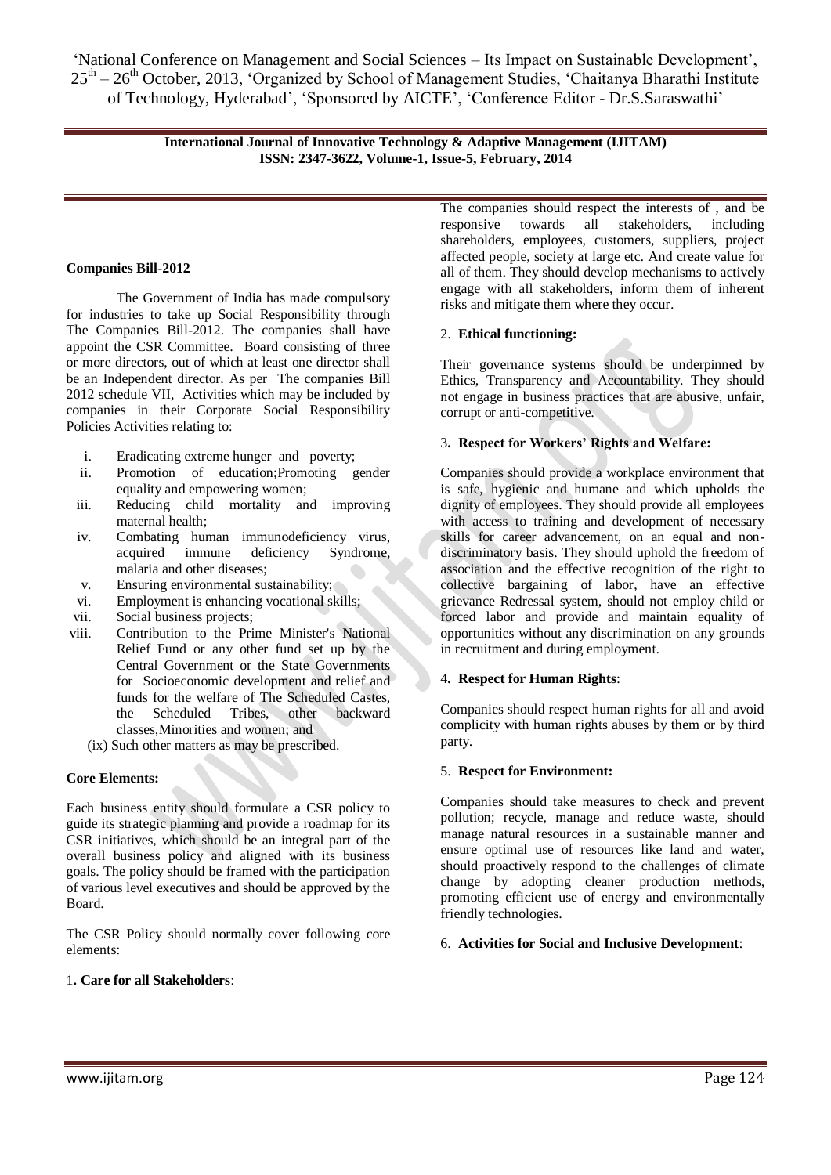> **International Journal of Innovative Technology & Adaptive Management (IJITAM) ISSN: 2347-3622, Volume-1, Issue-5, February, 2014**

# **Companies Bill-2012**

The Government of India has made compulsory for industries to take up Social Responsibility through The Companies Bill-2012. The companies shall have appoint the CSR Committee. Board consisting of three or more directors, out of which at least one director shall be an Independent director. As per The companies Bill 2012 schedule VII, Activities which may be included by companies in their Corporate Social Responsibility Policies Activities relating to:

- i. Eradicating extreme hunger and poverty;
- ii. Promotion of education;Promoting gender equality and empowering women;
- iii. Reducing child mortality and improving maternal health;
- iv. Combating human immunodeficiency virus, acquired immune deficiency Syndrome, malaria and other diseases;
- v. Ensuring environmental sustainability;
- vi. Employment is enhancing vocational skills;
- vii. Social business projects;
- viii. Contribution to the Prime Minister's National Relief Fund or any other fund set up by the Central Government or the State Governments for Socioeconomic development and relief and funds for the welfare of The Scheduled Castes, the Scheduled Tribes, other backward classes,Minorities and women; and
	- (ix) Such other matters as may be prescribed.

# **Core Elements:**

Each business entity should formulate a CSR policy to guide its strategic planning and provide a roadmap for its CSR initiatives, which should be an integral part of the overall business policy and aligned with its business goals. The policy should be framed with the participation of various level executives and should be approved by the Board.

The CSR Policy should normally cover following core elements:

# 1**. Care for all Stakeholders**:

The companies should respect the interests of , and be responsive towards all stakeholders, including shareholders, employees, customers, suppliers, project affected people, society at large etc. And create value for all of them. They should develop mechanisms to actively engage with all stakeholders, inform them of inherent risks and mitigate them where they occur.

# 2. **Ethical functioning:**

Their governance systems should be underpinned by Ethics, Transparency and Accountability. They should not engage in business practices that are abusive, unfair, corrupt or anti-competitive.

# 3**. Respect for Workers" Rights and Welfare:**

Companies should provide a workplace environment that is safe, hygienic and humane and which upholds the dignity of employees. They should provide all employees with access to training and development of necessary skills for career advancement, on an equal and nondiscriminatory basis. They should uphold the freedom of association and the effective recognition of the right to collective bargaining of labor, have an effective grievance Redressal system, should not employ child or forced labor and provide and maintain equality of opportunities without any discrimination on any grounds in recruitment and during employment.

#### 4**. Respect for Human Rights**:

Companies should respect human rights for all and avoid complicity with human rights abuses by them or by third party.

# 5. **Respect for Environment:**

Companies should take measures to check and prevent pollution; recycle, manage and reduce waste, should manage natural resources in a sustainable manner and ensure optimal use of resources like land and water, should proactively respond to the challenges of climate change by adopting cleaner production methods, promoting efficient use of energy and environmentally friendly technologies.

# 6. **Activities for Social and Inclusive Development**: